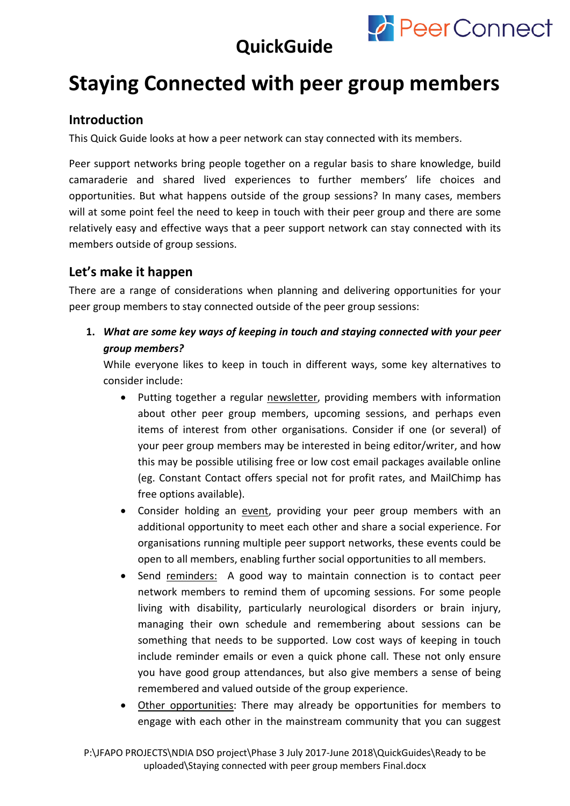

## **QuickGuide**

## **Staying Connected with peer group members**

### **Introduction**

This Quick Guide looks at how a peer network can stay connected with its members.

Peer support networks bring people together on a regular basis to share knowledge, build camaraderie and shared lived experiences to further members' life choices and opportunities. But what happens outside of the group sessions? In many cases, members will at some point feel the need to keep in touch with their peer group and there are some relatively easy and effective ways that a peer support network can stay connected with its members outside of group sessions.

## **Let's make it happen**

There are a range of considerations when planning and delivering opportunities for your peer group members to stay connected outside of the peer group sessions:

**1.** *What are some key ways of keeping in touch and staying connected with your peer group members?*

While everyone likes to keep in touch in different ways, some key alternatives to consider include:

- Putting together a regular newsletter, providing members with information about other peer group members, upcoming sessions, and perhaps even items of interest from other organisations. Consider if one (or several) of your peer group members may be interested in being editor/writer, and how this may be possible utilising free or low cost email packages available online (eg. Constant Contact offers special not for profit rates, and MailChimp has free options available).
- Consider holding an event, providing your peer group members with an additional opportunity to meet each other and share a social experience. For organisations running multiple peer support networks, these events could be open to all members, enabling further social opportunities to all members.
- Send reminders: A good way to maintain connection is to contact peer network members to remind them of upcoming sessions. For some people living with disability, particularly neurological disorders or brain injury, managing their own schedule and remembering about sessions can be something that needs to be supported. Low cost ways of keeping in touch include reminder emails or even a quick phone call. These not only ensure you have good group attendances, but also give members a sense of being remembered and valued outside of the group experience.
- Other opportunities: There may already be opportunities for members to engage with each other in the mainstream community that you can suggest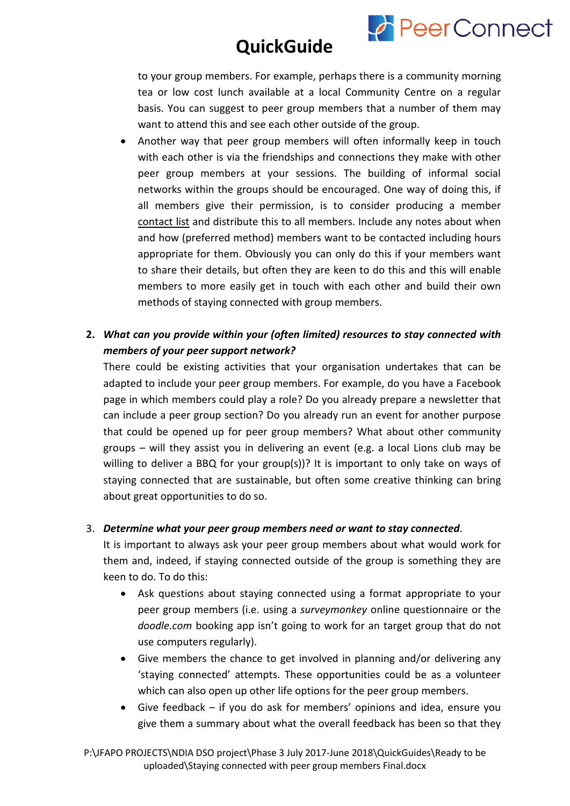

## **QuickGuide**

to your group members. For example, perhaps there is a community morning tea or low cost lunch available at a local Community Centre on a regular basis. You can suggest to peer group members that a number of them may want to attend this and see each other outside of the group.

- Another way that peer group members will often informally keep in touch with each other is via the friendships and connections they make with other peer group members at your sessions. The building of informal social networks within the groups should be encouraged. One way of doing this, if all members give their permission, is to consider producing a member contact list and distribute this to all members. Include any notes about when and how (preferred method) members want to be contacted including hours appropriate for them. Obviously you can only do this if your members want to share their details, but often they are keen to do this and this will enable members to more easily get in touch with each other and build their own methods of staying connected with group members.
- **2.** *What can you provide within your (often limited) resources to stay connected with members of your peer support network?*

There could be existing activities that your organisation undertakes that can be adapted to include your peer group members. For example, do you have a Facebook page in which members could play a role? Do you already prepare a newsletter that can include a peer group section? Do you already run an event for another purpose that could be opened up for peer group members? What about other community groups – will they assist you in delivering an event (e.g. a local Lions club may be willing to deliver a BBQ for your group(s))? It is important to only take on ways of staying connected that are sustainable, but often some creative thinking can bring about great opportunities to do so.

#### 3. *Determine what your peer group members need or want to stay connected*.

It is important to always ask your peer group members about what would work for them and, indeed, if staying connected outside of the group is something they are keen to do. To do this:

- Ask questions about staying connected using a format appropriate to your peer group members (i.e. using a *surveymonkey* online questionnaire or the *doodle.com* booking app isn't going to work for an target group that do not use computers regularly).
- Give members the chance to get involved in planning and/or delivering any 'staying connected' attempts. These opportunities could be as a volunteer which can also open up other life options for the peer group members.
- Give feedback if you do ask for members' opinions and idea, ensure you give them a summary about what the overall feedback has been so that they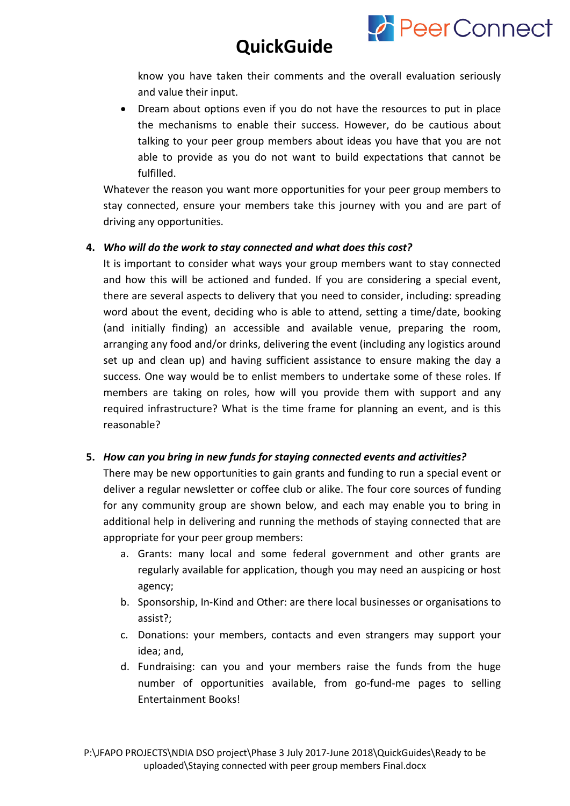

know you have taken their comments and the overall evaluation seriously and value their input.

 $\curvearrowleft$  Peer Connect

• Dream about options even if you do not have the resources to put in place the mechanisms to enable their success. However, do be cautious about talking to your peer group members about ideas you have that you are not able to provide as you do not want to build expectations that cannot be fulfilled.

Whatever the reason you want more opportunities for your peer group members to stay connected, ensure your members take this journey with you and are part of driving any opportunities.

#### **4.** *Who will do the work to stay connected and what does this cost?*

It is important to consider what ways your group members want to stay connected and how this will be actioned and funded. If you are considering a special event, there are several aspects to delivery that you need to consider, including: spreading word about the event, deciding who is able to attend, setting a time/date, booking (and initially finding) an accessible and available venue, preparing the room, arranging any food and/or drinks, delivering the event (including any logistics around set up and clean up) and having sufficient assistance to ensure making the day a success. One way would be to enlist members to undertake some of these roles. If members are taking on roles, how will you provide them with support and any required infrastructure? What is the time frame for planning an event, and is this reasonable?

#### **5.** *How can you bring in new funds for staying connected events and activities?*

There may be new opportunities to gain grants and funding to run a special event or deliver a regular newsletter or coffee club or alike. The four core sources of funding for any community group are shown below, and each may enable you to bring in additional help in delivering and running the methods of staying connected that are appropriate for your peer group members:

- a. Grants: many local and some federal government and other grants are regularly available for application, though you may need an auspicing or host agency;
- b. Sponsorship, In-Kind and Other: are there local businesses or organisations to assist?;
- c. Donations: your members, contacts and even strangers may support your idea; and,
- d. Fundraising: can you and your members raise the funds from the huge number of opportunities available, from go-fund-me pages to selling Entertainment Books!